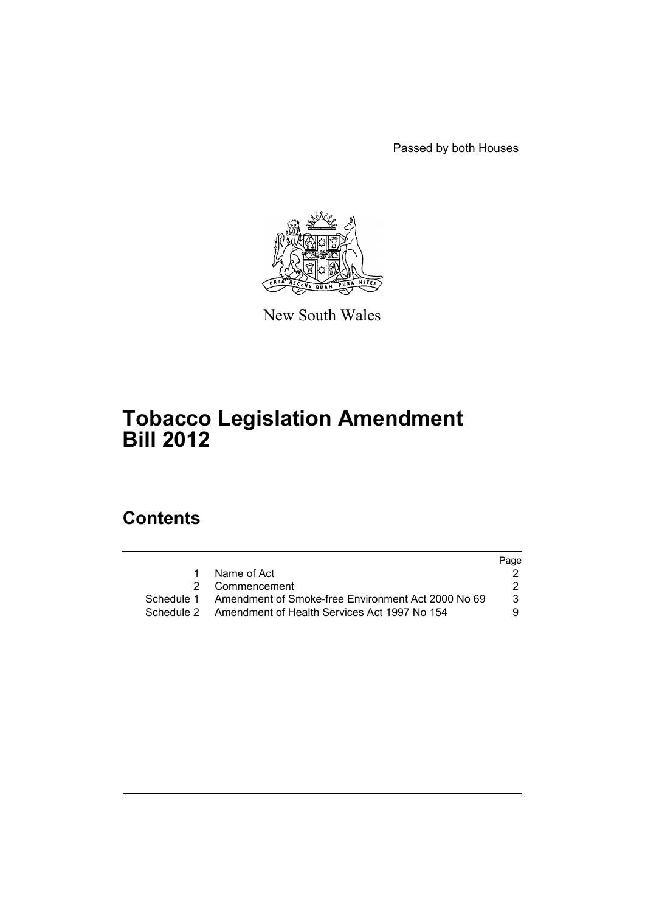Passed by both Houses



New South Wales

# **Tobacco Legislation Amendment Bill 2012**

# **Contents**

|            |                                                         | Page |
|------------|---------------------------------------------------------|------|
| 1          | Name of Act                                             |      |
|            | 2 Commencement                                          |      |
| Schedule 1 | Amendment of Smoke-free Environment Act 2000 No 69      | 3    |
|            | Schedule 2 Amendment of Health Services Act 1997 No 154 | -9   |
|            |                                                         |      |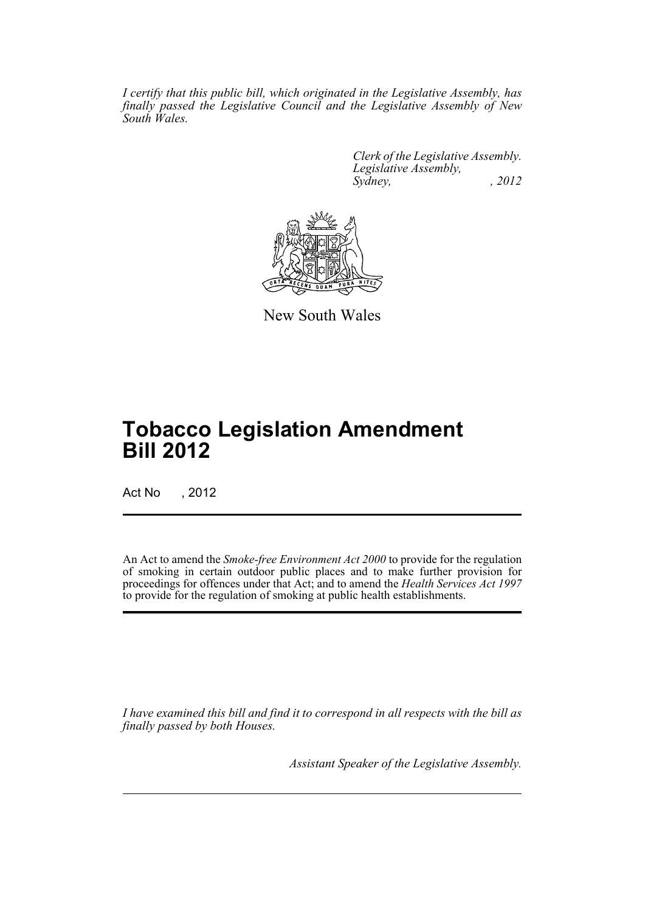*I certify that this public bill, which originated in the Legislative Assembly, has finally passed the Legislative Council and the Legislative Assembly of New South Wales.*

> *Clerk of the Legislative Assembly. Legislative Assembly, Sydney, , 2012*



New South Wales

# **Tobacco Legislation Amendment Bill 2012**

Act No , 2012

An Act to amend the *Smoke-free Environment Act 2000* to provide for the regulation of smoking in certain outdoor public places and to make further provision for proceedings for offences under that Act; and to amend the *Health Services Act 1997* to provide for the regulation of smoking at public health establishments.

*I have examined this bill and find it to correspond in all respects with the bill as finally passed by both Houses.*

*Assistant Speaker of the Legislative Assembly.*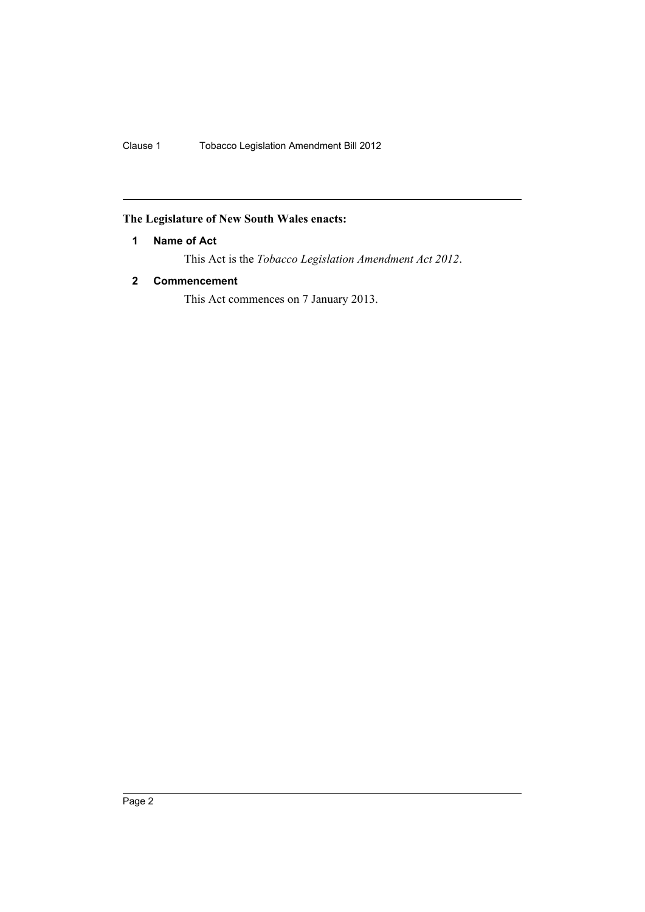Clause 1 Tobacco Legislation Amendment Bill 2012

## <span id="page-3-0"></span>**The Legislature of New South Wales enacts:**

## **1 Name of Act**

This Act is the *Tobacco Legislation Amendment Act 2012*.

## <span id="page-3-1"></span>**2 Commencement**

This Act commences on 7 January 2013.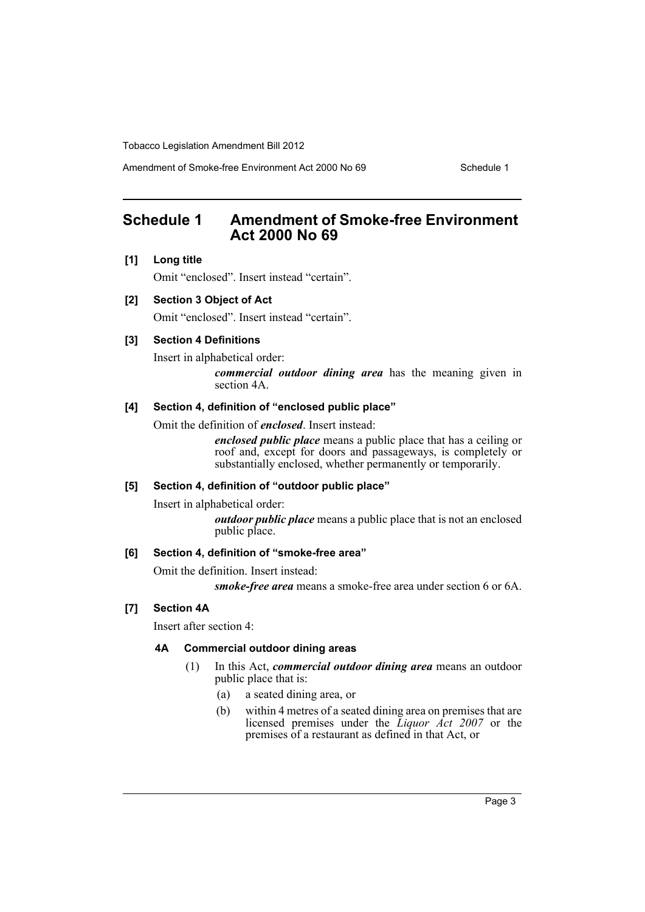Amendment of Smoke-free Environment Act 2000 No 69 Schedule 1

# <span id="page-4-0"></span>**Schedule 1 Amendment of Smoke-free Environment Act 2000 No 69**

#### **[1] Long title**

Omit "enclosed". Insert instead "certain".

### **[2] Section 3 Object of Act**

Omit "enclosed". Insert instead "certain".

### **[3] Section 4 Definitions**

Insert in alphabetical order:

*commercial outdoor dining area* has the meaning given in section 4A.

#### **[4] Section 4, definition of "enclosed public place"**

Omit the definition of *enclosed*. Insert instead:

*enclosed public place* means a public place that has a ceiling or roof and, except for doors and passageways, is completely or substantially enclosed, whether permanently or temporarily.

#### **[5] Section 4, definition of "outdoor public place"**

Insert in alphabetical order:

*outdoor public place* means a public place that is not an enclosed public place.

#### **[6] Section 4, definition of "smoke-free area"**

Omit the definition. Insert instead:

*smoke-free area* means a smoke-free area under section 6 or 6A.

### **[7] Section 4A**

Insert after section 4:

#### **4A Commercial outdoor dining areas**

- (1) In this Act, *commercial outdoor dining area* means an outdoor public place that is:
	- (a) a seated dining area, or
	- (b) within 4 metres of a seated dining area on premises that are licensed premises under the *Liquor Act 2007* or the premises of a restaurant as defined in that Act, or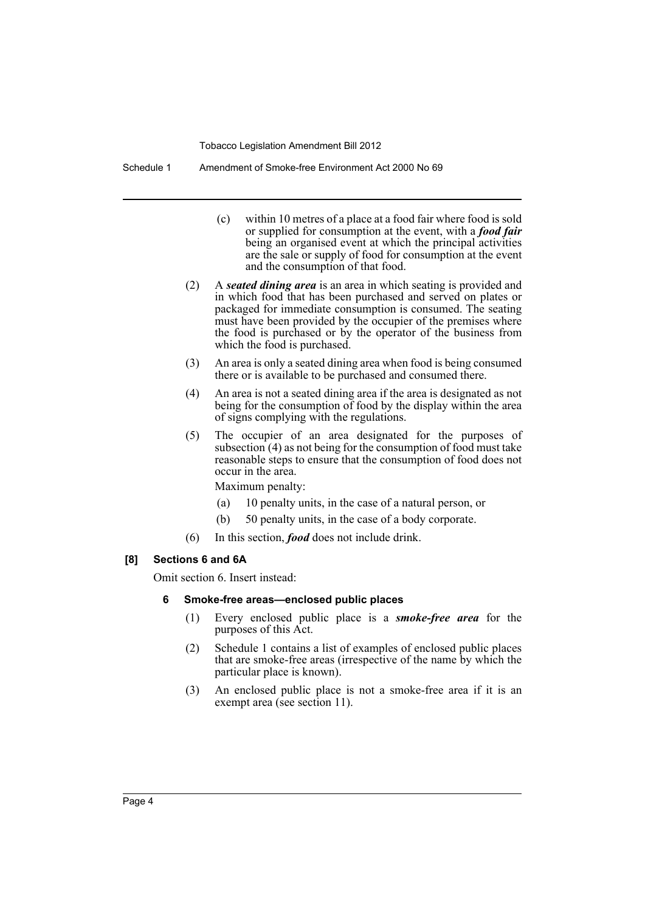Schedule 1 Amendment of Smoke-free Environment Act 2000 No 69

- (c) within 10 metres of a place at a food fair where food is sold or supplied for consumption at the event, with a *food fair* being an organised event at which the principal activities are the sale or supply of food for consumption at the event and the consumption of that food.
- (2) A *seated dining area* is an area in which seating is provided and in which food that has been purchased and served on plates or packaged for immediate consumption is consumed. The seating must have been provided by the occupier of the premises where the food is purchased or by the operator of the business from which the food is purchased.
- (3) An area is only a seated dining area when food is being consumed there or is available to be purchased and consumed there.
- (4) An area is not a seated dining area if the area is designated as not being for the consumption of food by the display within the area of signs complying with the regulations.
- (5) The occupier of an area designated for the purposes of subsection (4) as not being for the consumption of food must take reasonable steps to ensure that the consumption of food does not occur in the area.

Maximum penalty:

- (a) 10 penalty units, in the case of a natural person, or
- (b) 50 penalty units, in the case of a body corporate.
- (6) In this section, *food* does not include drink.

#### **[8] Sections 6 and 6A**

Omit section 6. Insert instead:

#### **6 Smoke-free areas—enclosed public places**

- (1) Every enclosed public place is a *smoke-free area* for the purposes of this Act.
- (2) Schedule 1 contains a list of examples of enclosed public places that are smoke-free areas (irrespective of the name by which the particular place is known).
- (3) An enclosed public place is not a smoke-free area if it is an exempt area (see section 11).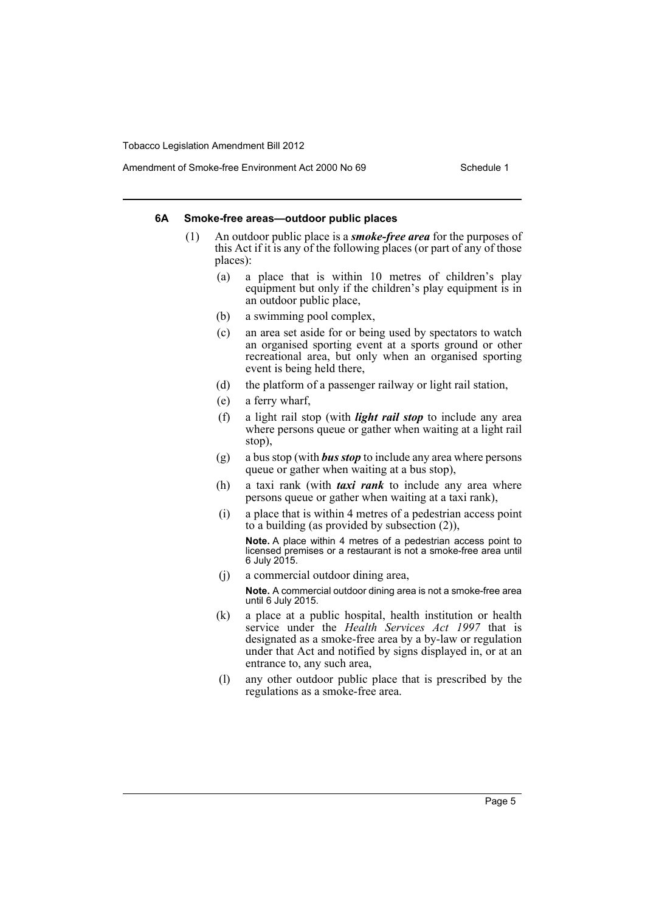#### **6A Smoke-free areas—outdoor public places**

- (1) An outdoor public place is a *smoke-free area* for the purposes of this Act if it is any of the following places (or part of any of those places):
	- (a) a place that is within 10 metres of children's play equipment but only if the children's play equipment is in an outdoor public place,
	- (b) a swimming pool complex,
	- (c) an area set aside for or being used by spectators to watch an organised sporting event at a sports ground or other recreational area, but only when an organised sporting event is being held there,
	- (d) the platform of a passenger railway or light rail station,
	- (e) a ferry wharf,
	- (f) a light rail stop (with *light rail stop* to include any area where persons queue or gather when waiting at a light rail stop),
	- (g) a bus stop (with *bus stop* to include any area where persons queue or gather when waiting at a bus stop),
	- (h) a taxi rank (with *taxi rank* to include any area where persons queue or gather when waiting at a taxi rank),
	- (i) a place that is within 4 metres of a pedestrian access point to a building (as provided by subsection (2)),

**Note.** A place within 4 metres of a pedestrian access point to licensed premises or a restaurant is not a smoke-free area until 6 July 2015.

(j) a commercial outdoor dining area,

**Note.** A commercial outdoor dining area is not a smoke-free area until 6 July 2015.

- (k) a place at a public hospital, health institution or health service under the *Health Services Act 1997* that is designated as a smoke-free area by a by-law or regulation under that Act and notified by signs displayed in, or at an entrance to, any such area,
- (l) any other outdoor public place that is prescribed by the regulations as a smoke-free area.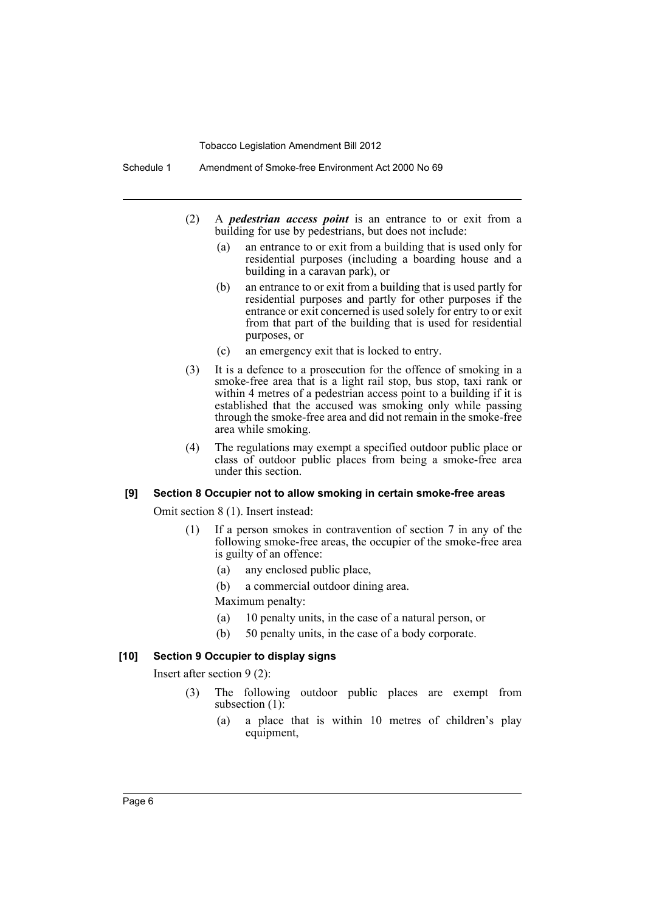Schedule 1 Amendment of Smoke-free Environment Act 2000 No 69

- (2) A *pedestrian access point* is an entrance to or exit from a building for use by pedestrians, but does not include:
	- (a) an entrance to or exit from a building that is used only for residential purposes (including a boarding house and a building in a caravan park), or
	- (b) an entrance to or exit from a building that is used partly for residential purposes and partly for other purposes if the entrance or exit concerned is used solely for entry to or exit from that part of the building that is used for residential purposes, or
	- (c) an emergency exit that is locked to entry.
- (3) It is a defence to a prosecution for the offence of smoking in a smoke-free area that is a light rail stop, bus stop, taxi rank or within 4 metres of a pedestrian access point to a building if it is established that the accused was smoking only while passing through the smoke-free area and did not remain in the smoke-free area while smoking.
- (4) The regulations may exempt a specified outdoor public place or class of outdoor public places from being a smoke-free area under this section.

#### **[9] Section 8 Occupier not to allow smoking in certain smoke-free areas**

Omit section 8 (1). Insert instead:

- (1) If a person smokes in contravention of section 7 in any of the following smoke-free areas, the occupier of the smoke-free area is guilty of an offence:
	- (a) any enclosed public place,
	- (b) a commercial outdoor dining area.

Maximum penalty:

- (a) 10 penalty units, in the case of a natural person, or
- (b) 50 penalty units, in the case of a body corporate.

#### **[10] Section 9 Occupier to display signs**

Insert after section 9 (2):

- (3) The following outdoor public places are exempt from subsection (1):
	- (a) a place that is within 10 metres of children's play equipment,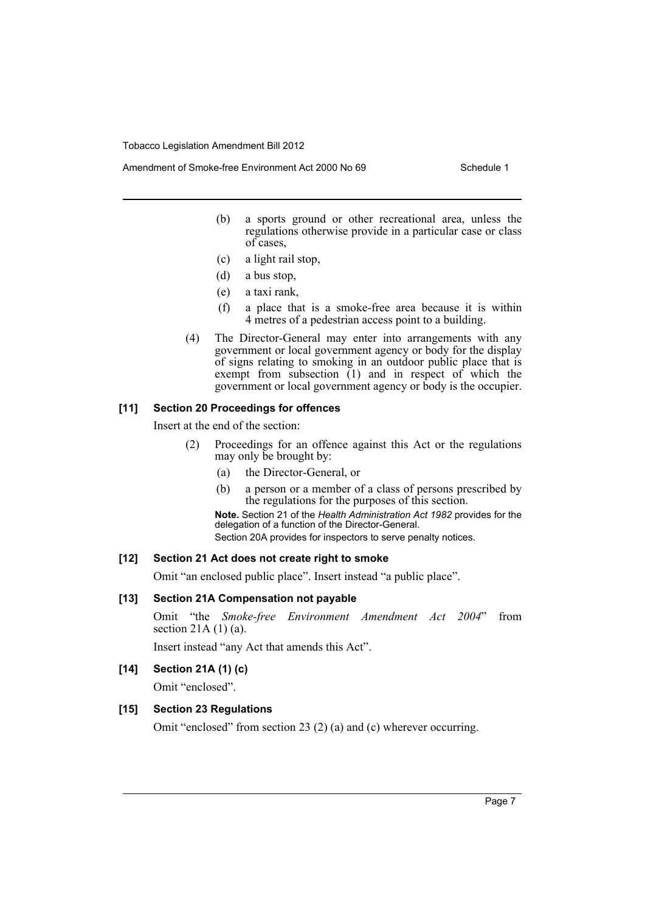Amendment of Smoke-free Environment Act 2000 No 69 Schedule 1

- - (b) a sports ground or other recreational area, unless the regulations otherwise provide in a particular case or class of cases,
	- (c) a light rail stop,
	- (d) a bus stop,
	- (e) a taxi rank,
	- (f) a place that is a smoke-free area because it is within 4 metres of a pedestrian access point to a building.
	- (4) The Director-General may enter into arrangements with any government or local government agency or body for the display of signs relating to smoking in an outdoor public place that is exempt from subsection  $(1)$  and in respect of which the government or local government agency or body is the occupier.

#### **[11] Section 20 Proceedings for offences**

Insert at the end of the section:

- (2) Proceedings for an offence against this Act or the regulations may only be brought by:
	- (a) the Director-General, or
	- (b) a person or a member of a class of persons prescribed by the regulations for the purposes of this section.

**Note.** Section 21 of the *Health Administration Act 1982* provides for the delegation of a function of the Director-General.

Section 20A provides for inspectors to serve penalty notices.

#### **[12] Section 21 Act does not create right to smoke**

Omit "an enclosed public place". Insert instead "a public place".

#### **[13] Section 21A Compensation not payable**

Omit "the *Smoke-free Environment Amendment Act 2004*" from section 21A  $(1)$  (a).

Insert instead "any Act that amends this Act".

## **[14] Section 21A (1) (c)**

Omit "enclosed".

#### **[15] Section 23 Regulations**

Omit "enclosed" from section 23 (2) (a) and (c) wherever occurring.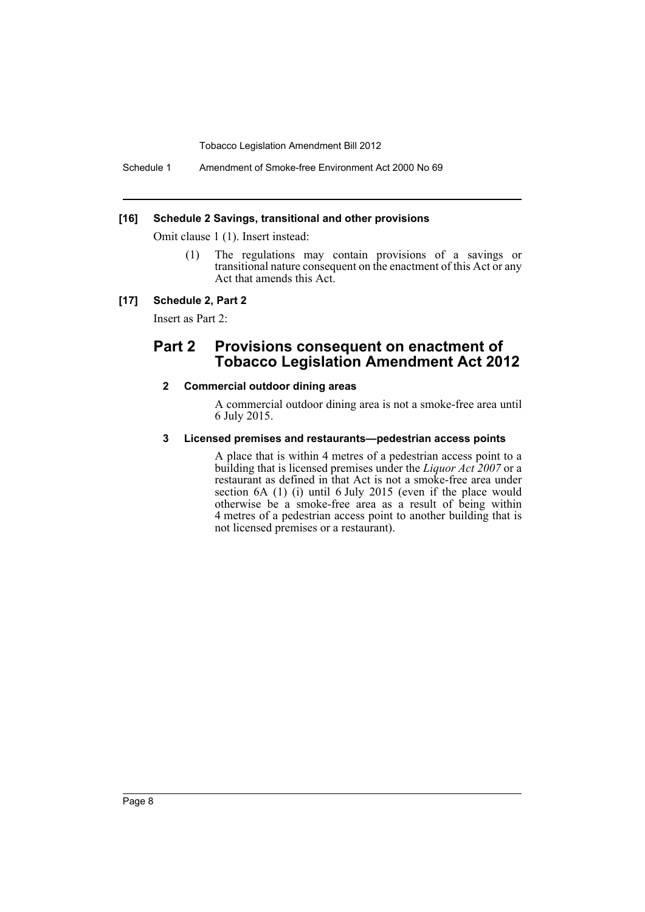Schedule 1 Amendment of Smoke-free Environment Act 2000 No 69

#### **[16] Schedule 2 Savings, transitional and other provisions**

Omit clause 1 (1). Insert instead:

(1) The regulations may contain provisions of a savings or transitional nature consequent on the enactment of this Act or any Act that amends this Act.

#### **[17] Schedule 2, Part 2**

Insert as Part 2:

## **Part 2 Provisions consequent on enactment of Tobacco Legislation Amendment Act 2012**

#### **2 Commercial outdoor dining areas**

A commercial outdoor dining area is not a smoke-free area until 6 July 2015.

#### **3 Licensed premises and restaurants—pedestrian access points**

A place that is within 4 metres of a pedestrian access point to a building that is licensed premises under the *Liquor Act 2007* or a restaurant as defined in that Act is not a smoke-free area under section 6A (1) (i) until 6 July 2015 (even if the place would otherwise be a smoke-free area as a result of being within 4 metres of a pedestrian access point to another building that is not licensed premises or a restaurant).